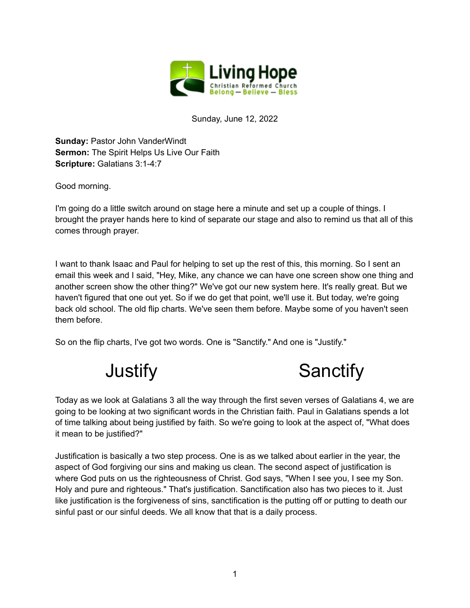

Sunday, June 12, 2022

**Sunday:** Pastor John VanderWindt **Sermon:** The Spirit Helps Us Live Our Faith **Scripture:** Galatians 3:1-4:7

Good morning.

I'm going do a little switch around on stage here a minute and set up a couple of things. I brought the prayer hands here to kind of separate our stage and also to remind us that all of this comes through prayer.

I want to thank Isaac and Paul for helping to set up the rest of this, this morning. So I sent an email this week and I said, "Hey, Mike, any chance we can have one screen show one thing and another screen show the other thing?" We've got our new system here. It's really great. But we haven't figured that one out yet. So if we do get that point, we'll use it. But today, we're going back old school. The old flip charts. We've seen them before. Maybe some of you haven't seen them before.

So on the flip charts, I've got two words. One is "Sanctify." And one is "Justify."



Today as we look at Galatians 3 all the way through the first seven verses of Galatians 4, we are going to be looking at two significant words in the Christian faith. Paul in Galatians spends a lot of time talking about being justified by faith. So we're going to look at the aspect of, "What does it mean to be justified?"

Justification is basically a two step process. One is as we talked about earlier in the year, the aspect of God forgiving our sins and making us clean. The second aspect of justification is where God puts on us the righteousness of Christ. God says, "When I see you, I see my Son. Holy and pure and righteous." That's justification. Sanctification also has two pieces to it. Just like justification is the forgiveness of sins, sanctification is the putting off or putting to death our sinful past or our sinful deeds. We all know that that is a daily process.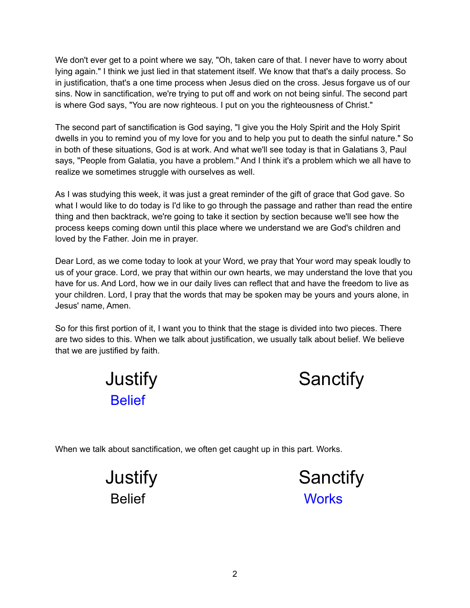We don't ever get to a point where we say, "Oh, taken care of that. I never have to worry about lying again." I think we just lied in that statement itself. We know that that's a daily process. So in justification, that's a one time process when Jesus died on the cross. Jesus forgave us of our sins. Now in sanctification, we're trying to put off and work on not being sinful. The second part is where God says, "You are now righteous. I put on you the righteousness of Christ."

The second part of sanctification is God saying, "I give you the Holy Spirit and the Holy Spirit dwells in you to remind you of my love for you and to help you put to death the sinful nature." So in both of these situations, God is at work. And what we'll see today is that in Galatians 3, Paul says, "People from Galatia, you have a problem." And I think it's a problem which we all have to realize we sometimes struggle with ourselves as well.

As I was studying this week, it was just a great reminder of the gift of grace that God gave. So what I would like to do today is I'd like to go through the passage and rather than read the entire thing and then backtrack, we're going to take it section by section because we'll see how the process keeps coming down until this place where we understand we are God's children and loved by the Father. Join me in prayer.

Dear Lord, as we come today to look at your Word, we pray that Your word may speak loudly to us of your grace. Lord, we pray that within our own hearts, we may understand the love that you have for us. And Lord, how we in our daily lives can reflect that and have the freedom to live as your children. Lord, I pray that the words that may be spoken may be yours and yours alone, in Jesus' name, Amen.

So for this first portion of it, I want you to think that the stage is divided into two pieces. There are two sides to this. When we talk about justification, we usually talk about belief. We believe that we are justified by faith.

| Justify |  |
|---------|--|
| Belief  |  |



When we talk about sanctification, we often get caught up in this part. Works.

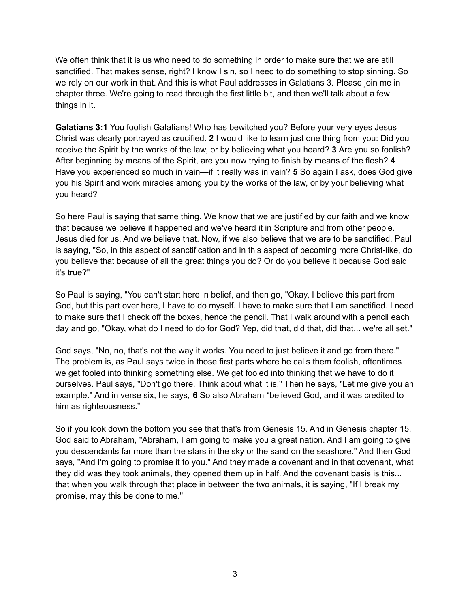We often think that it is us who need to do something in order to make sure that we are still sanctified. That makes sense, right? I know I sin, so I need to do something to stop sinning. So we rely on our work in that. And this is what Paul addresses in Galatians 3. Please join me in chapter three. We're going to read through the first little bit, and then we'll talk about a few things in it.

**Galatians 3:1** You foolish Galatians! Who has bewitched you? Before your very eyes Jesus Christ was clearly portrayed as crucified. **2** I would like to learn just one thing from you: Did you receive the Spirit by the works of the law, or by believing what you heard? **3** Are you so foolish? After beginning by means of the Spirit, are you now trying to finish by means of the flesh? **4** Have you experienced so much in vain—if it really was in vain? **5** So again I ask, does God give you his Spirit and work miracles among you by the works of the law, or by your believing what you heard?

So here Paul is saying that same thing. We know that we are justified by our faith and we know that because we believe it happened and we've heard it in Scripture and from other people. Jesus died for us. And we believe that. Now, if we also believe that we are to be sanctified, Paul is saying, "So, in this aspect of sanctification and in this aspect of becoming more Christ-like, do you believe that because of all the great things you do? Or do you believe it because God said it's true?"

So Paul is saying, "You can't start here in belief, and then go, "Okay, I believe this part from God, but this part over here, I have to do myself. I have to make sure that I am sanctified. I need to make sure that I check off the boxes, hence the pencil. That I walk around with a pencil each day and go, "Okay, what do I need to do for God? Yep, did that, did that, did that... we're all set."

God says, "No, no, that's not the way it works. You need to just believe it and go from there." The problem is, as Paul says twice in those first parts where he calls them foolish, oftentimes we get fooled into thinking something else. We get fooled into thinking that we have to do it ourselves. Paul says, "Don't go there. Think about what it is." Then he says, "Let me give you an example." And in verse six, he says, **6** So also Abraham "believed God, and it was credited to him as righteousness."

So if you look down the bottom you see that that's from Genesis 15. And in Genesis chapter 15, God said to Abraham, "Abraham, I am going to make you a great nation. And I am going to give you descendants far more than the stars in the sky or the sand on the seashore." And then God says, "And I'm going to promise it to you." And they made a covenant and in that covenant, what they did was they took animals, they opened them up in half. And the covenant basis is this... that when you walk through that place in between the two animals, it is saying, "If I break my promise, may this be done to me."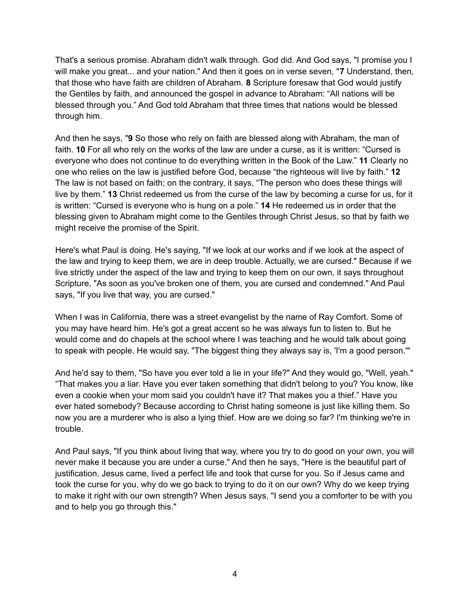That's a serious promise. Abraham didn't walk through. God did. And God says, "I promise you I will make you great... and your nation." And then it goes on in verse seven, "**7** Understand, then, that those who have faith are children of Abraham. **8** Scripture foresaw that God would justify the Gentiles by faith, and announced the gospel in advance to Abraham: "All nations will be blessed through you." And God told Abraham that three times that nations would be blessed through him.

And then he says, "**9** So those who rely on faith are blessed along with Abraham, the man of faith. **10** For all who rely on the works of the law are under a curse, as it is written: "Cursed is everyone who does not continue to do everything written in the Book of the Law." **11** Clearly no one who relies on the law is justified before God, because "the righteous will live by faith." **12** The law is not based on faith; on the contrary, it says, "The person who does these things will live by them." **13** Christ redeemed us from the curse of the law by becoming a curse for us, for it is written: "Cursed is everyone who is hung on a pole." **14** He redeemed us in order that the blessing given to Abraham might come to the Gentiles through Christ Jesus, so that by faith we might receive the promise of the Spirit.

Here's what Paul is doing. He's saying, "If we look at our works and if we look at the aspect of the law and trying to keep them, we are in deep trouble. Actually, we are cursed." Because if we live strictly under the aspect of the law and trying to keep them on our own, it says throughout Scripture, "As soon as you've broken one of them, you are cursed and condemned." And Paul says, "If you live that way, you are cursed."

When I was in California, there was a street evangelist by the name of Ray Comfort. Some of you may have heard him. He's got a great accent so he was always fun to listen to. But he would come and do chapels at the school where I was teaching and he would talk about going to speak with people. He would say, "The biggest thing they always say is, 'I'm a good person.'"

And he'd say to them, "So have you ever told a lie in your life?" And they would go, "Well, yeah." "That makes you a liar. Have you ever taken something that didn't belong to you? You know, like even a cookie when your mom said you couldn't have it? That makes you a thief." Have you ever hated somebody? Because according to Christ hating someone is just like killing them. So now you are a murderer who is also a lying thief. How are we doing so far? I'm thinking we're in trouble.

And Paul says, "If you think about living that way, where you try to do good on your own, you will never make it because you are under a curse." And then he says, "Here is the beautiful part of justification. Jesus came, lived a perfect life and took that curse for you. So if Jesus came and took the curse for you, why do we go back to trying to do it on our own? Why do we keep trying to make it right with our own strength? When Jesus says, "I send you a comforter to be with you and to help you go through this."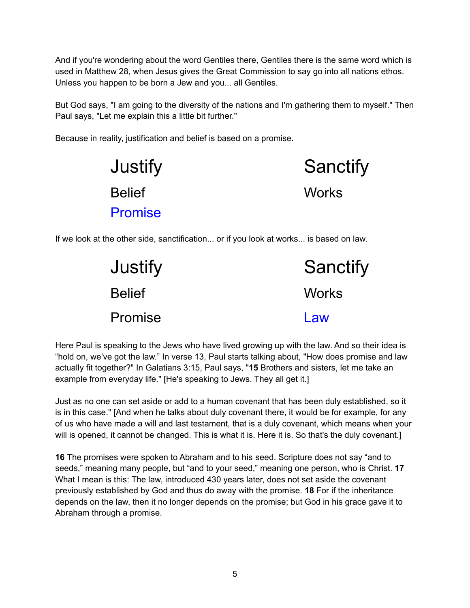And if you're wondering about the word Gentiles there, Gentiles there is the same word which is used in Matthew 28, when Jesus gives the Great Commission to say go into all nations ethos. Unless you happen to be born a Jew and you... all Gentiles.

But God says, "I am going to the diversity of the nations and I'm gathering them to myself." Then Paul says, "Let me explain this a little bit further."

Because in reality, justification and belief is based on a promise.



If we look at the other side, sanctification... or if you look at works... is based on law.

| <b>Justify</b> | Sanctify     |
|----------------|--------------|
| <b>Belief</b>  | <b>Works</b> |
| <b>Promise</b> | Law          |

Here Paul is speaking to the Jews who have lived growing up with the law. And so their idea is "hold on, we've got the law." In verse 13, Paul starts talking about, "How does promise and law actually fit together?" In Galatians 3:15, Paul says, "**15** Brothers and sisters, let me take an example from everyday life." [He's speaking to Jews. They all get it.]

Just as no one can set aside or add to a human covenant that has been duly established, so it is in this case." [And when he talks about duly covenant there, it would be for example, for any of us who have made a will and last testament, that is a duly covenant, which means when your will is opened, it cannot be changed. This is what it is. Here it is. So that's the duly covenant.]

**16** The promises were spoken to Abraham and to his seed. Scripture does not say "and to seeds," meaning many people, but "and to your seed," meaning one person, who is Christ. **17** What I mean is this: The law, introduced 430 years later, does not set aside the covenant previously established by God and thus do away with the promise. **18** For if the inheritance depends on the law, then it no longer depends on the promise; but God in his grace gave it to Abraham through a promise.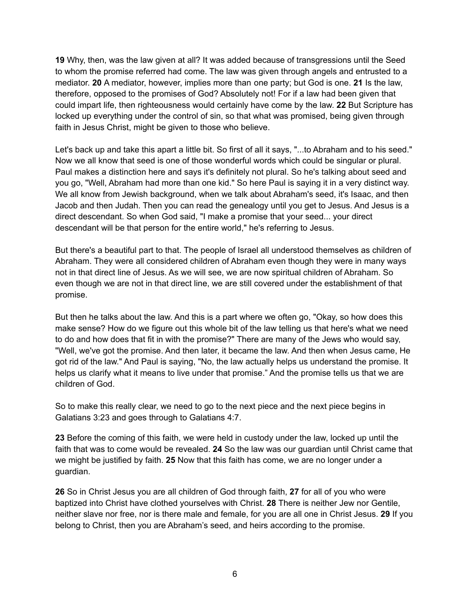**19** Why, then, was the law given at all? It was added because of transgressions until the Seed to whom the promise referred had come. The law was given through angels and entrusted to a mediator. **20** A mediator, however, implies more than one party; but God is one. **21** Is the law, therefore, opposed to the promises of God? Absolutely not! For if a law had been given that could impart life, then righteousness would certainly have come by the law. **22** But Scripture has locked up everything under the control of sin, so that what was promised, being given through faith in Jesus Christ, might be given to those who believe.

Let's back up and take this apart a little bit. So first of all it says, "...to Abraham and to his seed." Now we all know that seed is one of those wonderful words which could be singular or plural. Paul makes a distinction here and says it's definitely not plural. So he's talking about seed and you go, "Well, Abraham had more than one kid." So here Paul is saying it in a very distinct way. We all know from Jewish background, when we talk about Abraham's seed, it's Isaac, and then Jacob and then Judah. Then you can read the genealogy until you get to Jesus. And Jesus is a direct descendant. So when God said, "I make a promise that your seed... your direct descendant will be that person for the entire world," he's referring to Jesus.

But there's a beautiful part to that. The people of Israel all understood themselves as children of Abraham. They were all considered children of Abraham even though they were in many ways not in that direct line of Jesus. As we will see, we are now spiritual children of Abraham. So even though we are not in that direct line, we are still covered under the establishment of that promise.

But then he talks about the law. And this is a part where we often go, "Okay, so how does this make sense? How do we figure out this whole bit of the law telling us that here's what we need to do and how does that fit in with the promise?" There are many of the Jews who would say, "Well, we've got the promise. And then later, it became the law. And then when Jesus came, He got rid of the law." And Paul is saying, "No, the law actually helps us understand the promise. It helps us clarify what it means to live under that promise." And the promise tells us that we are children of God.

So to make this really clear, we need to go to the next piece and the next piece begins in Galatians 3:23 and goes through to Galatians 4:7.

**23** Before the coming of this faith, we were held in custody under the law, locked up until the faith that was to come would be revealed. **24** So the law was our guardian until Christ came that we might be justified by faith. **25** Now that this faith has come, we are no longer under a guardian.

**26** So in Christ Jesus you are all children of God through faith, **27** for all of you who were baptized into Christ have clothed yourselves with Christ. **28** There is neither Jew nor Gentile, neither slave nor free, nor is there male and female, for you are all one in Christ Jesus. **29** If you belong to Christ, then you are Abraham's seed, and heirs according to the promise.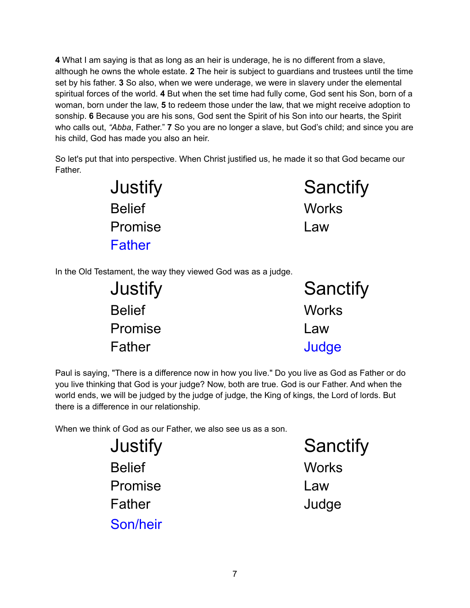**4** What I am saying is that as long as an heir is underage, he is no different from a slave, although he owns the whole estate. **2** The heir is subject to guardians and trustees until the time set by his father. **3** So also, when we were underage, we were in slavery under the elemental spiritual forces of the world. **4** But when the set time had fully come, God sent his Son, born of a woman, born under the law, **5** to redeem those under the law, that we might receive adoption to sonship. **6** Because you are his sons, God sent the Spirit of his Son into our hearts, the Spirit who calls out, *"Abba*, Father." **7** So you are no longer a slave, but God's child; and since you are his child, God has made you also an heir.

So let's put that into perspective. When Christ justified us, he made it so that God became our Father.

| Justify        | Sanctify     |
|----------------|--------------|
| <b>Belief</b>  | <b>Works</b> |
| <b>Promise</b> | Law          |
| Father         |              |

In the Old Testament, the way they viewed God was as a judge.

| Justify        | Sanctify     |  |
|----------------|--------------|--|
| <b>Belief</b>  | <b>Works</b> |  |
| <b>Promise</b> | Law          |  |
| Father         | Judge        |  |

Paul is saying, "There is a difference now in how you live." Do you live as God as Father or do you live thinking that God is your judge? Now, both are true. God is our Father. And when the world ends, we will be judged by the judge of judge, the King of kings, the Lord of lords. But there is a difference in our relationship.

When we think of God as our Father, we also see us as a son.

Belief Works Promise Law Father Judge Son/heir

Justify Sanctify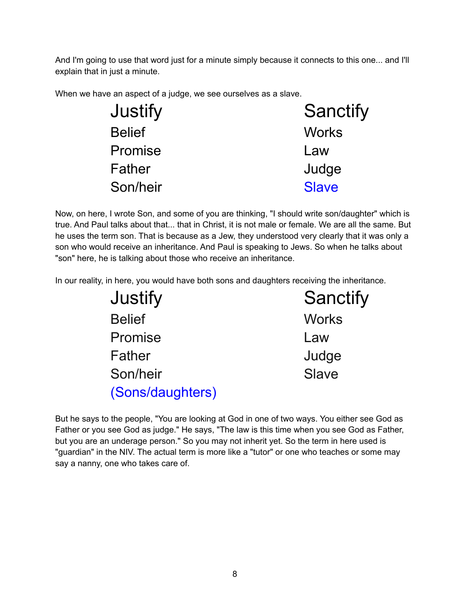And I'm going to use that word just for a minute simply because it connects to this one... and I'll explain that in just a minute.

When we have an aspect of a judge, we see ourselves as a slave.

| Justify       | Sanctify     |
|---------------|--------------|
| <b>Belief</b> | <b>Works</b> |
| Promise       | Law          |
| Father        | Judge        |
| Son/heir      | <b>Slave</b> |

Now, on here, I wrote Son, and some of you are thinking, "I should write son/daughter" which is true. And Paul talks about that... that in Christ, it is not male or female. We are all the same. But he uses the term son. That is because as a Jew, they understood very clearly that it was only a son who would receive an inheritance. And Paul is speaking to Jews. So when he talks about "son" here, he is talking about those who receive an inheritance.

In our reality, in here, you would have both sons and daughters receiving the inheritance.

| Justify          | Sanctify     |
|------------------|--------------|
| <b>Belief</b>    | <b>Works</b> |
| Promise          | Law          |
| Father           | Judge        |
| Son/heir         | Slave        |
| (Sons/daughters) |              |

But he says to the people, "You are looking at God in one of two ways. You either see God as Father or you see God as judge." He says, "The law is this time when you see God as Father, but you are an underage person." So you may not inherit yet. So the term in here used is "guardian" in the NIV. The actual term is more like a "tutor" or one who teaches or some may say a nanny, one who takes care of.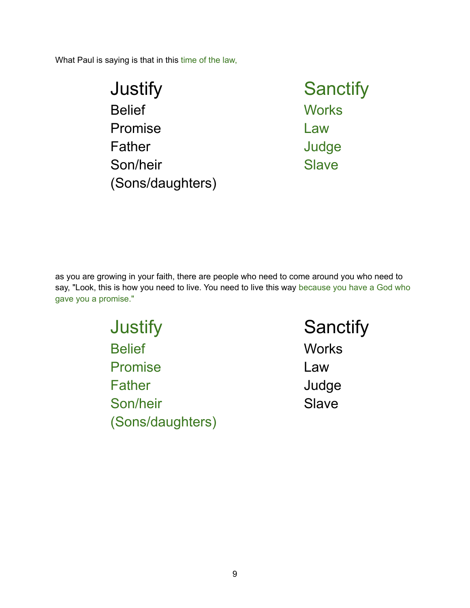What Paul is saying is that in this time of the law,

| <b>Sanctify</b> |
|-----------------|
| <b>Works</b>    |
| Law             |
| Judge           |
| <b>Slave</b>    |
|                 |
|                 |

as you are growing in your faith, there are people who need to come around you who need to say, "Look, this is how you need to live. You need to live this way because you have a God who gave you a promise."

> Justify Sanctify Belief Works Promise Law Father Judge Son/heir Slave (Sons/daughters)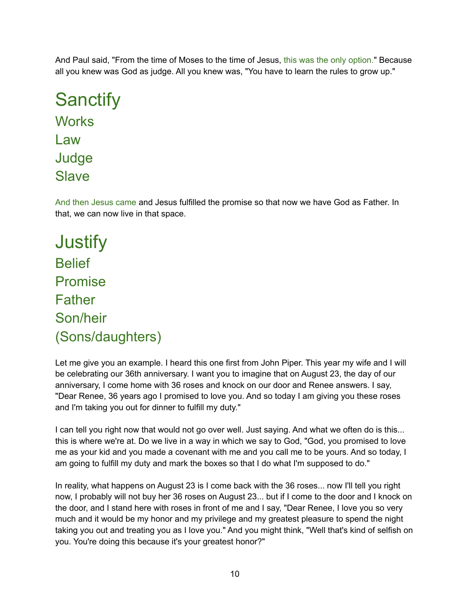And Paul said, "From the time of Moses to the time of Jesus, this was the only option." Because all you knew was God as judge. All you knew was, "You have to learn the rules to grow up."

```
Sanctify
Works
Law
Judge
Slave
```
And then Jesus came and Jesus fulfilled the promise so that now we have God as Father. In that, we can now live in that space.

**Justify Belief** Promise **Father** Son/heir (Sons/daughters)

Let me give you an example. I heard this one first from John Piper. This year my wife and I will be celebrating our 36th anniversary. I want you to imagine that on August 23, the day of our anniversary, I come home with 36 roses and knock on our door and Renee answers. I say, "Dear Renee, 36 years ago I promised to love you. And so today I am giving you these roses and I'm taking you out for dinner to fulfill my duty."

I can tell you right now that would not go over well. Just saying. And what we often do is this... this is where we're at. Do we live in a way in which we say to God, "God, you promised to love me as your kid and you made a covenant with me and you call me to be yours. And so today, I am going to fulfill my duty and mark the boxes so that I do what I'm supposed to do."

In reality, what happens on August 23 is I come back with the 36 roses... now I'll tell you right now, I probably will not buy her 36 roses on August 23... but if I come to the door and I knock on the door, and I stand here with roses in front of me and I say, "Dear Renee, I love you so very much and it would be my honor and my privilege and my greatest pleasure to spend the night taking you out and treating you as I love you." And you might think, "Well that's kind of selfish on you. You're doing this because it's your greatest honor?"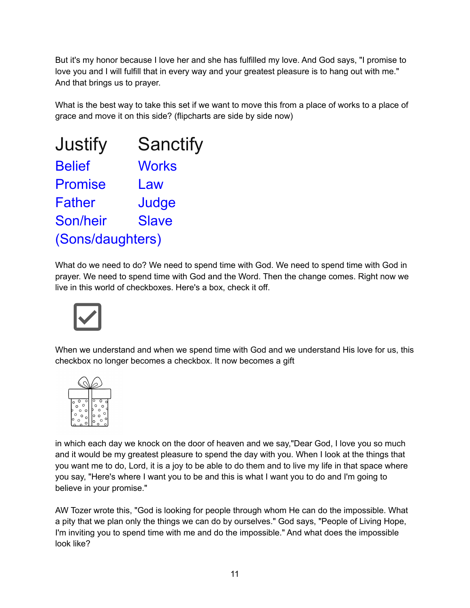But it's my honor because I love her and she has fulfilled my love. And God says, "I promise to love you and I will fulfill that in every way and your greatest pleasure is to hang out with me." And that brings us to prayer.

What is the best way to take this set if we want to move this from a place of works to a place of grace and move it on this side? (flipcharts are side by side now)

| Justify          | <b>Sanctify</b> |
|------------------|-----------------|
| <b>Belief</b>    | <b>Works</b>    |
| <b>Promise</b>   | Law             |
| <b>Father</b>    | Judge           |
| Son/heir         | <b>Slave</b>    |
| (Sons/daughters) |                 |

What do we need to do? We need to spend time with God. We need to spend time with God in prayer. We need to spend time with God and the Word. Then the change comes. Right now we live in this world of checkboxes. Here's a box, check it off.



When we understand and when we spend time with God and we understand His love for us, this checkbox no longer becomes a checkbox. It now becomes a gift



in which each day we knock on the door of heaven and we say,"Dear God, I love you so much and it would be my greatest pleasure to spend the day with you. When I look at the things that you want me to do, Lord, it is a joy to be able to do them and to live my life in that space where you say, "Here's where I want you to be and this is what I want you to do and I'm going to believe in your promise."

AW Tozer wrote this, "God is looking for people through whom He can do the impossible. What a pity that we plan only the things we can do by ourselves." God says, "People of Living Hope, I'm inviting you to spend time with me and do the impossible." And what does the impossible look like?